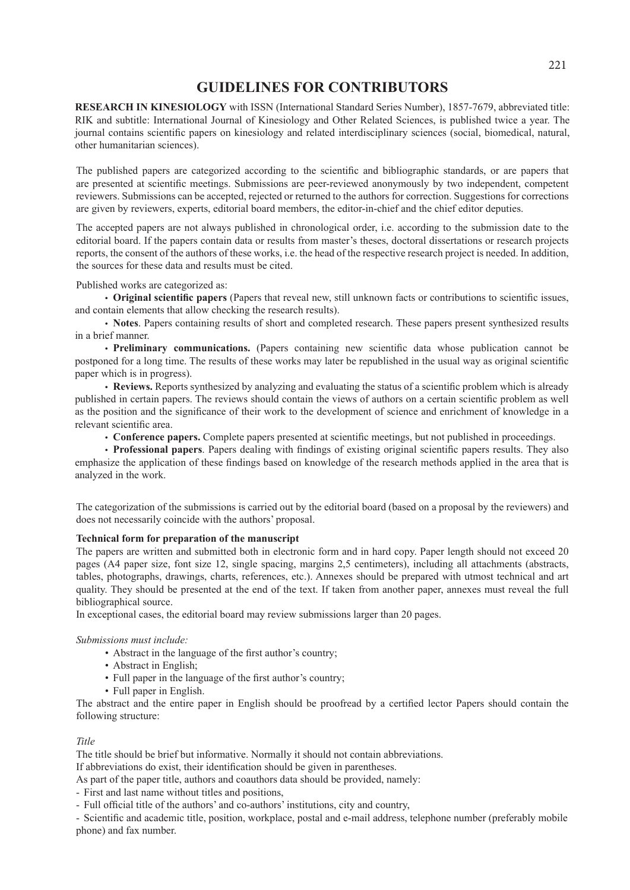# **GUIDELINES FOR CONTRIBUTORS**

**RESEARCH IN KINESIOLOGY** with ISSN (International Standard Series Number), 1857-7679, abbreviated title: RIK and subtitle: International Journal of Kinesiology and Other Related Sciences, is published twice a year. The journal contains scientific papers on kinesiology and related interdisciplinary sciences (social, biomedical, natural, other humanitarian sciences).

The published papers are categorized according to the scientific and bibliographic standards, or are papers that are presented at scientific meetings. Submissions are peer-reviewed anonymously by two independent, competent reviewers. Submissions can be accepted, rejected or returned to the authors for correction. Suggestions for corrections are given by reviewers, experts, editorial board members, the editor-in-chief and the chief editor deputies.

The accepted papers are not always published in chronological order, i.e. according to the submission date to the editorial board. If the papers contain data or results from master's theses, doctoral dissertations or research projects reports, the consent of the authors of these works, i.e. the head of the respective research project is needed. In addition, the sources for these data and results must be cited.

Published works are categorized as:

• **Original scientific papers** (Papers that reveal new, still unknown facts or contributions to scientific issues, and contain elements that allow checking the research results).

• **Notes**. Papers containing results of short and completed research. These papers present synthesized results in a brief manner.

• **Preliminary communications.** (Papers containing new scientific data whose publication cannot be postponed for a long time. The results of these works may later be republished in the usual way as original scientific paper which is in progress).

• **Reviews.** Reports synthesized by analyzing and evaluating the status of a scientific problem which is already published in certain papers. The reviews should contain the views of authors on a certain scientific problem as well as the position and the significance of their work to the development of science and enrichment of knowledge in a relevant scientific area.

• **Conference papers.** Complete papers presented at scientific meetings, but not published in proceedings.

• **Professional papers**. Papers dealing with findings of existing original scientific papers results. They also emphasize the application of these findings based on knowledge of the research methods applied in the area that is analyzed in the work.

The categorization of the submissions is carried out by the editorial board (based on a proposal by the reviewers) and does not necessarily coincide with the authors' proposal.

# **Technical form for preparation of the manuscript**

The papers are written and submitted both in electronic form and in hard copy. Paper length should not exceed 20 pages (A4 paper size, font size 12, single spacing, margins 2,5 centimeters), including all attachments (abstracts, tables, photographs, drawings, charts, references, etc.). Annexes should be prepared with utmost technical and art quality. They should be presented at the end of the text. If taken from another paper, annexes must reveal the full bibliographical source.

In exceptional cases, the editorial board may review submissions larger than 20 pages.

## *Submissions must include:*

- Abstract in the language of the first author's country;
- Abstract in English;
- Full paper in the language of the first author's country;
- Full paper in English.

The abstract and the entire paper in English should be proofread by a certified lector Papers should contain the following structure:

## *Title*

The title should be brief but informative. Normally it should not contain abbreviations.

If abbreviations do exist, their identification should be given in parentheses.

As part of the paper title, authors and coauthors data should be provided, namely:

- First and last name without titles and positions,

- Full official title of the authors' and co-authors' institutions, city and country,

- Scientific and academic title, position, workplace, postal and e-mail address, telephone number (preferably mobile phone) and fax number.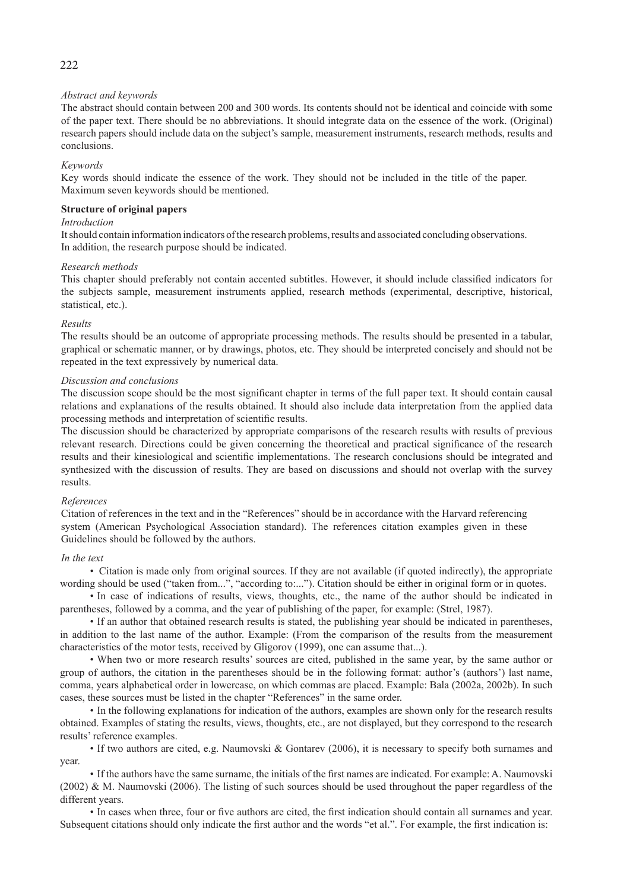## *Abstract and keywords*

The abstract should contain between 200 and 300 words. Its contents should not be identical and coincide with some of the paper text. There should be no abbreviations. It should integrate data on the essence of the work. (Original) research papers should include data on the subject's sample, measurement instruments, research methods, results and conclusions.

#### *Keywords*

Key words should indicate the essence of the work. They should not be included in the title of the paper. Maximum seven keywords should be mentioned.

#### **Structure of original papers**

#### *Introduction*

It should contain information indicators of the research problems, results and associated concluding observations. In addition, the research purpose should be indicated.

#### *Research methods*

This chapter should preferably not contain accented subtitles. However, it should include classified indicators for the subjects sample, measurement instruments applied, research methods (experimental, descriptive, historical, statistical, etc.).

#### *Results*

The results should be an outcome of appropriate processing methods. The results should be presented in a tabular, graphical or schematic manner, or by drawings, photos, etc. They should be interpreted concisely and should not be repeated in the text expressively by numerical data.

#### *Discussion and conclusions*

The discussion scope should be the most significant chapter in terms of the full paper text. It should contain causal relations and explanations of the results obtained. It should also include data interpretation from the applied data processing methods and interpretation of scientific results.

The discussion should be characterized by appropriate comparisons of the research results with results of previous relevant research. Directions could be given concerning the theoretical and practical significance of the research results and their kinesiological and scientific implementations. The research conclusions should be integrated and synthesized with the discussion of results. They are based on discussions and should not overlap with the survey results.

#### *References*

Citation of references in the text and in the "References" should be in accordance with the Harvard referencing system (American Psychological Association standard). The references citation examples given in these Guidelines should be followed by the authors.

#### *In the text*

• Citation is made only from original sources. If they are not available (if quoted indirectly), the appropriate wording should be used ("taken from...", "according to:..."). Citation should be either in original form or in quotes.

• In case of indications of results, views, thoughts, etc., the name of the author should be indicated in parentheses, followed by a comma, and the year of publishing of the paper, for example: (Strel, 1987).

• If an author that obtained research results is stated, the publishing year should be indicated in parentheses, in addition to the last name of the author. Example: (From the comparison of the results from the measurement characteristics of the motor tests, received by Gligorov (1999), one can assume that...).

• When two or more research results' sources are cited, published in the same year, by the same author or group of authors, the citation in the parentheses should be in the following format: author's (authors') last name, comma, years alphabetical order in lowercase, on which commas are placed. Example: Bala (2002a, 2002b). In such cases, these sources must be listed in the chapter "References" in the same order.

• In the following explanations for indication of the authors, examples are shown only for the research results obtained. Examples of stating the results, views, thoughts, etc., are not displayed, but they correspond to the research results' reference examples.

• If two authors are cited, e.g. Naumovski & Gontarev (2006), it is necessary to specify both surnames and year.

• If the authors have the same surname, the initials of the first names are indicated. For example: A. Naumovski (2002) & M. Naumovski (2006). The listing of such sources should be used throughout the paper regardless of the different years.

• In cases when three, four or five authors are cited, the first indication should contain all surnames and year. Subsequent citations should only indicate the first author and the words "et al.". For example, the first indication is:

#### 222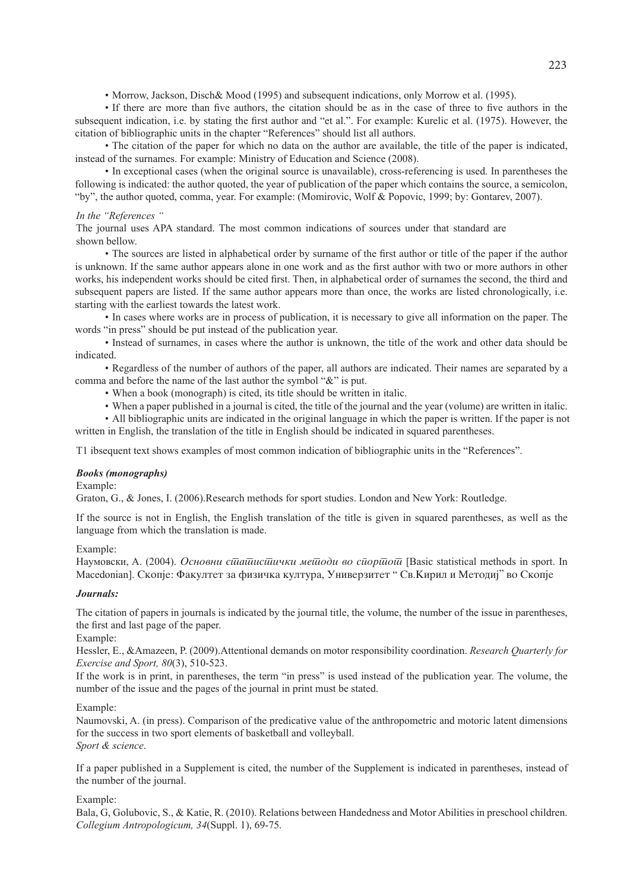• Morrow, Jackson, Disch& Mood (1995) and subsequent indications, only Morrow et al. (1995).

• If there are more than five authors, the citation should be as in the case of three to five authors in the subsequent indication, i.e. by stating the first author and "et al.". For example: Kurelic et al. (1975). However, the citation of bibliographic units in the chapter "References" should list all authors.

• The citation of the paper for which no data on the author are available, the title of the paper is indicated, instead of the surnames. For example: Ministry of Education and Science (2008).

• In exceptional cases (when the original source is unavailable), cross-referencing is used. In parentheses the following is indicated: the author quoted, the year of publication of the paper which contains the source, a semicolon, "by", the author quoted, comma, year. For example: (Momirovic, Wolf & Popovic, 1999; by: Gontarev, 2007).

#### *In the "References "*

The journal uses APA standard. The most common indications of sources under that standard are shown bellow.

• The sources are listed in alphabetical order by surname of the first author or title of the paper if the author is unknown. If the same author appears alone in one work and as the first author with two or more authors in other works, his independent works should be cited first. Then, in alphabetical order of surnames the second, the third and subsequent papers are listed. If the same author appears more than once, the works are listed chronologically, i.e. starting with the earliest towards the latest work.

• In cases where works are in process of publication, it is necessary to give all information on the paper. The words "in press" should be put instead of the publication year.

• Instead of surnames, in cases where the author is unknown, the title of the work and other data should be indicated.

• Regardless of the number of authors of the paper, all authors are indicated. Their names are separated by a comma and before the name of the last author the symbol "&" is put.

- When a book (monograph) is cited, its title should be written in italic.
- When a paper published in a journal is cited, the title of the journal and the year (volume) are written in italic.
- All bibliographic units are indicated in the original language in which the paper is written. If the paper is not

written in English, the translation of the title in English should be indicated in squared parentheses.

T1 ibsequent text shows examples of most common indication of bibliographic units in the "References".

## *Books (monographs)*

Example:

Graton, G., & Jones, I. (2006).Research methods for sport studies. London and New York: Routledge.

If the source is not in English, the English translation of the title is given in squared parentheses, as well as the language from which the translation is made.

Example:

Hayмовски, A. (2004). *Основни синашисинички мешоди во сиоринош* [Basic statistical methods in sport. In Macedonian]. Скопје: Факултет за физичка култура, Универзитет " Св. Кирил и Методиј" во Скопје

#### *Journals:*

The citation of papers in journals is indicated by the journal title, the volume, the number of the issue in parentheses, the first and last page of the paper.

Example:

Hessler, E., &Amazeen, P. (2009).Attentional demands on motor responsibility coordination. *Research Quarterly for Exercise and Sport, 80*(3), 510-523.

If the work is in print, in parentheses, the term "in press" is used instead of the publication year. The volume, the number of the issue and the pages of the journal in print must be stated.

#### Example:

Naumovski, A. (in press). Comparison of the predicative value of the anthropometric and motoric latent dimensions for the success in two sport elements of basketball and volleyball. *Sport & science*.

If a paper published in a Supplement is cited, the number of the Supplement is indicated in parentheses, instead of the number of the journal.

## Example:

Bala, G, Golubovic, S., & Katie, R. (2010). Relations between Handedness and Motor Abilities in preschool children. *Collegium Antropologicum, 34*(Suppl. 1), 69-75.